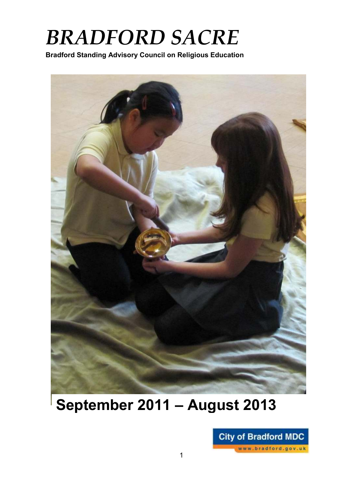# *BRADFORD SACRE*

**Bradford Standing Advisory Council on Religious Education**



## **September 2011 – August 2013**

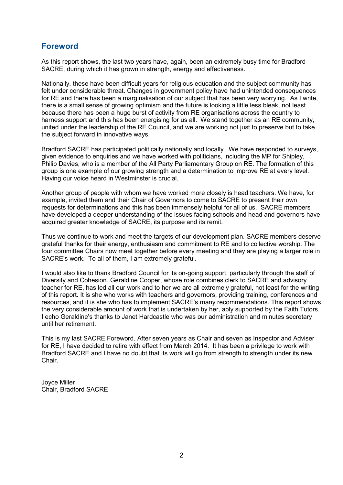## **Foreword**

As this report shows, the last two years have, again, been an extremely busy time for Bradford SACRE, during which it has grown in strength, energy and effectiveness.

Nationally, these have been difficult years for religious education and the subject community has felt under considerable threat. Changes in government policy have had unintended consequences for RE and there has been a marginalisation of our subject that has been very worrying. As I write, there is a small sense of growing optimism and the future is looking a little less bleak, not least because there has been a huge burst of activity from RE organisations across the country to harness support and this has been energising for us all. We stand together as an RE community, united under the leadership of the RE Council, and we are working not just to preserve but to take the subject forward in innovative ways.

Bradford SACRE has participated politically nationally and locally. We have responded to surveys, given evidence to enquiries and we have worked with politicians, including the MP for Shipley, Philip Davies, who is a member of the All Party Parliamentary Group on RE. The formation of this group is one example of our growing strength and a determination to improve RE at every level. Having our voice heard in Westminster is crucial.

Another group of people with whom we have worked more closely is head teachers. We have, for example, invited them and their Chair of Governors to come to SACRE to present their own requests for determinations and this has been immensely helpful for all of us. SACRE members have developed a deeper understanding of the issues facing schools and head and governors have acquired greater knowledge of SACRE, its purpose and its remit.

Thus we continue to work and meet the targets of our development plan. SACRE members deserve grateful thanks for their energy, enthusiasm and commitment to RE and to collective worship. The four committee Chairs now meet together before every meeting and they are playing a larger role in SACRE's work. To all of them, I am extremely grateful.

I would also like to thank Bradford Council for its on-going support, particularly through the staff of Diversity and Cohesion. Geraldine Cooper, whose role combines clerk to SACRE and advisory teacher for RE, has led all our work and to her we are all extremely grateful, not least for the writing of this report. It is she who works with teachers and governors, providing training, conferences and resources, and it is she who has to implement SACRE's many recommendations. This report shows the very considerable amount of work that is undertaken by her, ably supported by the Faith Tutors. I echo Geraldine's thanks to Janet Hardcastle who was our administration and minutes secretary until her retirement.

This is my last SACRE Foreword. After seven years as Chair and seven as Inspector and Adviser for RE, I have decided to retire with effect from March 2014. It has been a privilege to work with Bradford SACRE and I have no doubt that its work will go from strength to strength under its new Chair.

Joyce Miller Chair, Bradford SACRE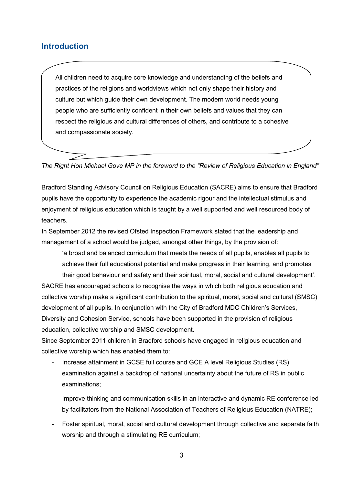## **Introduction**

All children need to acquire core knowledge and understanding of the beliefs and practices of the religions and worldviews which not only shape their history and culture but which guide their own development. The modern world needs young people who are sufficiently confident in their own beliefs and values that they can respect the religious and cultural differences of others, and contribute to a cohesive and compassionate society.

*The Right Hon Michael Gove MP in the foreword to the "Review of Religious Education in England"*

Bradford Standing Advisory Council on Religious Education (SACRE) aims to ensure that Bradford pupils have the opportunity to experience the academic rigour and the intellectual stimulus and enjoyment of religious education which is taught by a well supported and well resourced body of teachers.

In September 2012 the revised Ofsted Inspection Framework stated that the leadership and management of a school would be judged, amongst other things, by the provision of:

'a broad and balanced curriculum that meets the needs of all pupils, enables all pupils to achieve their full educational potential and make progress in their learning, and promotes their good behaviour and safety and their spiritual, moral, social and cultural development'.

SACRE has encouraged schools to recognise the ways in which both religious education and collective worship make a significant contribution to the spiritual, moral, social and cultural (SMSC) development of all pupils. In conjunction with the City of Bradford MDC Children's Services, Diversity and Cohesion Service, schools have been supported in the provision of religious education, collective worship and SMSC development.

Since September 2011 children in Bradford schools have engaged in religious education and collective worship which has enabled them to:

- Increase attainment in GCSE full course and GCE A level Religious Studies (RS) examination against a backdrop of national uncertainty about the future of RS in public examinations;
- Improve thinking and communication skills in an interactive and dynamic RE conference led by facilitators from the National Association of Teachers of Religious Education (NATRE);
- Foster spiritual, moral, social and cultural development through collective and separate faith worship and through a stimulating RE curriculum;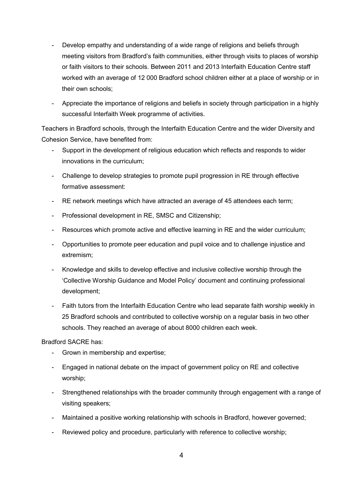- Develop empathy and understanding of a wide range of religions and beliefs through meeting visitors from Bradford's faith communities, either through visits to places of worship or faith visitors to their schools. Between 2011 and 2013 Interfaith Education Centre staff worked with an average of 12 000 Bradford school children either at a place of worship or in their own schools;
- Appreciate the importance of religions and beliefs in society through participation in a highly successful Interfaith Week programme of activities.

Teachers in Bradford schools, through the Interfaith Education Centre and the wider Diversity and Cohesion Service, have benefited from:

- Support in the development of religious education which reflects and responds to wider innovations in the curriculum;
- Challenge to develop strategies to promote pupil progression in RE through effective formative assessment:
- RE network meetings which have attracted an average of 45 attendees each term;
- Professional development in RE, SMSC and Citizenship;
- Resources which promote active and effective learning in RE and the wider curriculum;
- Opportunities to promote peer education and pupil voice and to challenge injustice and extremism;
- Knowledge and skills to develop effective and inclusive collective worship through the 'Collective Worship Guidance and Model Policy' document and continuing professional development;
- Faith tutors from the Interfaith Education Centre who lead separate faith worship weekly in 25 Bradford schools and contributed to collective worship on a regular basis in two other schools. They reached an average of about 8000 children each week.

Bradford SACRE has:

- Grown in membership and expertise;
- Engaged in national debate on the impact of government policy on RE and collective worship;
- Strengthened relationships with the broader community through engagement with a range of visiting speakers;
- Maintained a positive working relationship with schools in Bradford, however governed;
- Reviewed policy and procedure, particularly with reference to collective worship;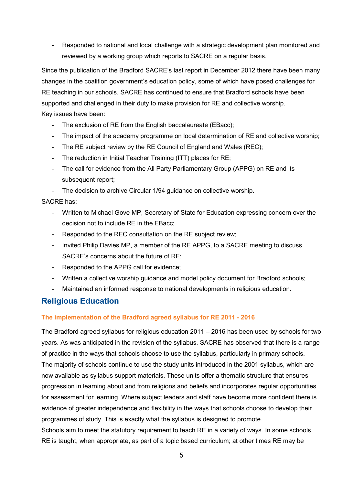- Responded to national and local challenge with a strategic development plan monitored and reviewed by a working group which reports to SACRE on a regular basis.

Since the publication of the Bradford SACRE's last report in December 2012 there have been many changes in the coalition government's education policy, some of which have posed challenges for RE teaching in our schools. SACRE has continued to ensure that Bradford schools have been supported and challenged in their duty to make provision for RE and collective worship. Key issues have been:

- The exclusion of RE from the English baccalaureate (EBacc);
- The impact of the academy programme on local determination of RE and collective worship;
- The RE subject review by the RE Council of England and Wales (REC);
- The reduction in Initial Teacher Training (ITT) places for RE;
- The call for evidence from the All Party Parliamentary Group (APPG) on RE and its subsequent report:
- The decision to archive Circular 1/94 guidance on collective worship.

#### SACRE has:

- Written to Michael Gove MP, Secretary of State for Education expressing concern over the decision not to include RE in the EBacc;
- Responded to the REC consultation on the RE subject review;
- Invited Philip Davies MP, a member of the RE APPG, to a SACRE meeting to discuss SACRE's concerns about the future of RE;
- Responded to the APPG call for evidence;
- Written a collective worship guidance and model policy document for Bradford schools;
- Maintained an informed response to national developments in religious education.

## **Religious Education**

#### **The implementation of the Bradford agreed syllabus for RE 2011 - 2016**

The Bradford agreed syllabus for religious education 2011 – 2016 has been used by schools for two years. As was anticipated in the revision of the syllabus, SACRE has observed that there is a range of practice in the ways that schools choose to use the syllabus, particularly in primary schools. The majority of schools continue to use the study units introduced in the 2001 syllabus, which are now available as syllabus support materials. These units offer a thematic structure that ensures progression in learning about and from religions and beliefs and incorporates regular opportunities for assessment for learning. Where subject leaders and staff have become more confident there is evidence of greater independence and flexibility in the ways that schools choose to develop their programmes of study. This is exactly what the syllabus is designed to promote. Schools aim to meet the statutory requirement to teach RE in a variety of ways. In some schools RE is taught, when appropriate, as part of a topic based curriculum; at other times RE may be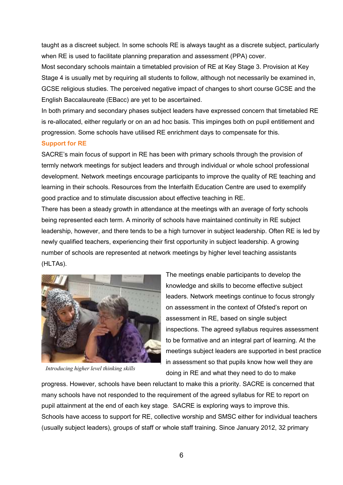taught as a discreet subject. In some schools RE is always taught as a discrete subject, particularly when RE is used to facilitate planning preparation and assessment (PPA) cover.

Most secondary schools maintain a timetabled provision of RE at Key Stage 3. Provision at Key Stage 4 is usually met by requiring all students to follow, although not necessarily be examined in, GCSE religious studies. The perceived negative impact of changes to short course GCSE and the English Baccalaureate (EBacc) are yet to be ascertained.

In both primary and secondary phases subject leaders have expressed concern that timetabled RE is re-allocated, either regularly or on an ad hoc basis. This impinges both on pupil entitlement and progression. Some schools have utilised RE enrichment days to compensate for this.

#### **Support for RE**

SACRE's main focus of support in RE has been with primary schools through the provision of termly network meetings for subject leaders and through individual or whole school professional development. Network meetings encourage participants to improve the quality of RE teaching and learning in their schools. Resources from the Interfaith Education Centre are used to exemplify good practice and to stimulate discussion about effective teaching in RE.

There has been a steady growth in attendance at the meetings with an average of forty schools being represented each term. A minority of schools have maintained continuity in RE subject leadership, however, and there tends to be a high turnover in subject leadership. Often RE is led by newly qualified teachers, experiencing their first opportunity in subject leadership. A growing number of schools are represented at network meetings by higher level teaching assistants (HLTAs).



*Introducing higher level thinking skills*

The meetings enable participants to develop the knowledge and skills to become effective subject leaders. Network meetings continue to focus strongly on assessment in the context of Ofsted's report on assessment in RE, based on single subject inspections. The agreed syllabus requires assessment to be formative and an integral part of learning. At the meetings subject leaders are supported in best practice in assessment so that pupils know how well they are doing in RE and what they need to do to make

progress. However, schools have been reluctant to make this a priority. SACRE is concerned that many schools have not responded to the requirement of the agreed syllabus for RE to report on pupil attainment at the end of each key stage. SACRE is exploring ways to improve this. Schools have access to support for RE, collective worship and SMSC either for individual teachers (usually subject leaders), groups of staff or whole staff training. Since January 2012, 32 primary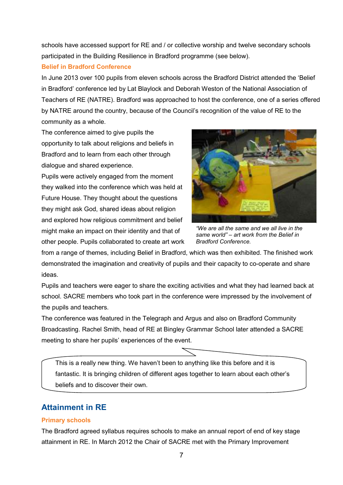schools have accessed support for RE and / or collective worship and twelve secondary schools participated in the Building Resilience in Bradford programme (see below).

#### **Belief in Bradford Conference**

In June 2013 over 100 pupils from eleven schools across the Bradford District attended the 'Belief in Bradford' conference led by Lat Blaylock and Deborah Weston of the National Association of Teachers of RE (NATRE). Bradford was approached to host the conference, one of a series offered by NATRE around the country, because of the Council's recognition of the value of RE to the community as a whole.

The conference aimed to give pupils the opportunity to talk about religions and beliefs in Bradford and to learn from each other through dialogue and shared experience.

Pupils were actively engaged from the moment they walked into the conference which was held at Future House. They thought about the questions they might ask God, shared ideas about religion and explored how religious commitment and belief might make an impact on their identity and that of other people. Pupils collaborated to create art work



*"We are all the same and we all live in the same world" – art work from the Belief in Bradford Conference.* 

from a range of themes, including Belief in Bradford, which was then exhibited. The finished work demonstrated the imagination and creativity of pupils and their capacity to co-operate and share ideas.

Pupils and teachers were eager to share the exciting activities and what they had learned back at school. SACRE members who took part in the conference were impressed by the involvement of the pupils and teachers.

The conference was featured in the Telegraph and Argus and also on Bradford Community Broadcasting. Rachel Smith, head of RE at Bingley Grammar School later attended a SACRE meeting to share her pupils' experiences of the event.

This is a really new thing. We haven't been to anything like this before and it is fantastic. It is bringing children of different ages together to learn about each other's beliefs and to discover their own.

## **Attainment in RE**

#### **Primary schools**

The Bradford agreed syllabus requires schools to make an annual report of end of key stage attainment in RE. In March 2012 the Chair of SACRE met with the Primary Improvement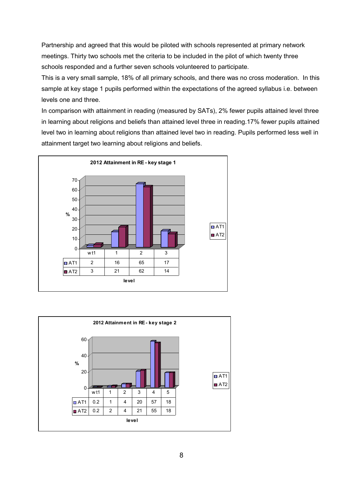Partnership and agreed that this would be piloted with schools represented at primary network meetings. Thirty two schools met the criteria to be included in the pilot of which twenty three schools responded and a further seven schools volunteered to participate.

This is a very small sample, 18% of all primary schools, and there was no cross moderation. In this sample at key stage 1 pupils performed within the expectations of the agreed syllabus i.e. between levels one and three.

In comparison with attainment in reading (measured by SATs), 2% fewer pupils attained level three in learning about religions and beliefs than attained level three in reading.17% fewer pupils attained level two in learning about religions than attained level two in reading. Pupils performed less well in attainment target two learning about religions and beliefs.



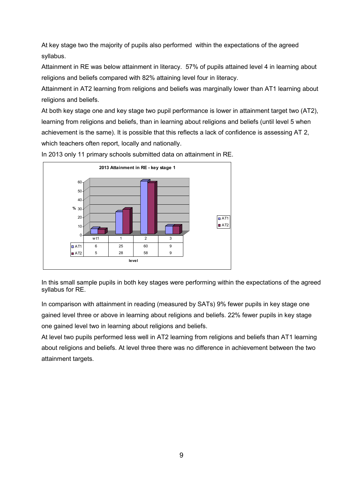At key stage two the majority of pupils also performed within the expectations of the agreed syllabus.

Attainment in RE was below attainment in literacy. 57% of pupils attained level 4 in learning about religions and beliefs compared with 82% attaining level four in literacy.

Attainment in AT2 learning from religions and beliefs was marginally lower than AT1 learning about religions and beliefs.

At both key stage one and key stage two pupil performance is lower in attainment target two (AT2), learning from religions and beliefs, than in learning about religions and beliefs (until level 5 when achievement is the same). It is possible that this reflects a lack of confidence is assessing AT 2, which teachers often report, locally and nationally.



In 2013 only 11 primary schools submitted data on attainment in RE.

In this small sample pupils in both key stages were performing within the expectations of the agreed syllabus for RE.

In comparison with attainment in reading (measured by SATs) 9% fewer pupils in key stage one gained level three or above in learning about religions and beliefs. 22% fewer pupils in key stage one gained level two in learning about religions and beliefs.

At level two pupils performed less well in AT2 learning from religions and beliefs than AT1 learning about religions and beliefs. At level three there was no difference in achievement between the two attainment targets.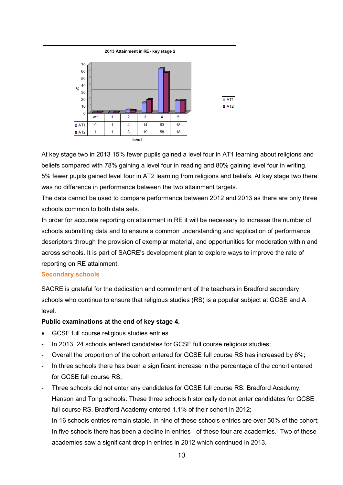

At key stage two in 2013 15% fewer pupils gained a level four in AT1 learning about religions and beliefs compared with 78% gaining a level four in reading and 80% gaining level four in writing. 5% fewer pupils gained level four in AT2 learning from religions and beliefs. At key stage two there was no difference in performance between the two attainment targets.

The data cannot be used to compare performance between 2012 and 2013 as there are only three schools common to both data sets.

In order for accurate reporting on attainment in RE it will be necessary to increase the number of schools submitting data and to ensure a common understanding and application of performance descriptors through the provision of exemplar material, and opportunities for moderation within and across schools. It is part of SACRE's development plan to explore ways to improve the rate of reporting on RE attainment.

#### **Secondary schools**

SACRE is grateful for the dedication and commitment of the teachers in Bradford secondary schools who continue to ensure that religious studies (RS) is a popular subject at GCSE and A level*.*

#### **Public examinations at the end of key stage 4.**

- GCSE full course religious studies entries
- In 2013, 24 schools entered candidates for GCSE full course religious studies;
- Overall the proportion of the cohort entered for GCSE full course RS has increased by 6%;
- In three schools there has been a significant increase in the percentage of the cohort entered for GCSE full course RS;
- Three schools did not enter any candidates for GCSE full course RS: Bradford Academy, Hanson and Tong schools. These three schools historically do not enter candidates for GCSE full course RS. Bradford Academy entered 1.1% of their cohort in 2012;
- In 16 schools entries remain stable. In nine of these schools entries are over 50% of the cohort;
- In five schools there has been a decline in entries of these four are academies. Two of these academies saw a significant drop in entries in 2012 which continued in 2013.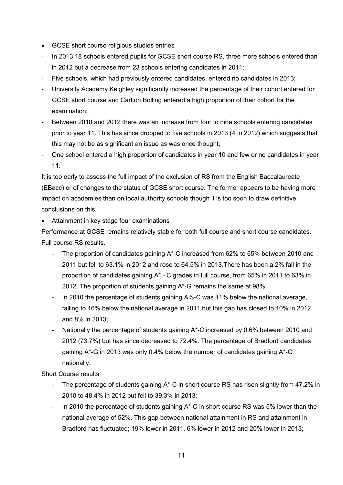- GCSE short course religious studies entries
- In 2013 18 schools entered pupils for GCSE short course RS, three more schools entered than in 2012 but a decrease from 23 schools entering candidates in 2011;
- Five schools, which had previously entered candidates, entered no candidates in 2013;
- University Academy Keighley significantly increased the percentage of their cohort entered for GCSE short course and Carlton Bolling entered a high proportion of their cohort for the examination;
- Between 2010 and 2012 there was an increase from four to nine schools entering candidates prior to year 11. This has since dropped to five schools in 2013 (4 in 2012) which suggests that this may not be as significant an issue as was once thought;
- One school entered a high proportion of candidates in year 10 and few or no candidates in year 11.

It is too early to assess the full impact of the exclusion of RS from the English Baccalaureate (EBacc) or of changes to the status of GCSE short course. The former appears to be having more impact on academies than on local authority schools though it is too soon to draw definitive conclusions on this.

• Attainment in key stage four examinations

Performance at GCSE remains relatively stable for both full course and short course candidates. Full course RS results.

- The proportion of candidates gaining A\*-C increased from 62% to 65% between 2010 and 2011 but fell to 63.1% in 2012 and rose to 64.5% in 2013.There has been a 2% fall in the proportion of candidates gaining A\* - C grades in full course, from 65% in 2011 to 63% in 2012. The proportion of students gaining A\*-G remains the same at 98%;
- In 2010 the percentage of students gaining A%-C was 11% below the national average, falling to 16% below the national average in 2011 but this gap has closed to 10% in 2012 and 8% in 2013;
- Nationally the percentage of students gaining A\*-C increased by 0.6% between 2010 and 2012 (73.7%) but has since decreased to 72.4%. The percentage of Bradford candidates gaining A\*-G in 2013 was only 0.4% below the number of candidates gaining A\*-G nationally.

Short Course results

- The percentage of students gaining A\*-C in short course RS has risen slightly from 47.2% in 2010 to 48.4% in 2012 but fell to 39.3% in 2013;
- In 2010 the percentage of students gaining A\*-C in short course RS was 5% lower than the national average of 52%. This gap between national attainment in RS and attainment in Bradford has fluctuated; 19% lower in 2011, 6% lower in 2012 and 20% lower in 2013;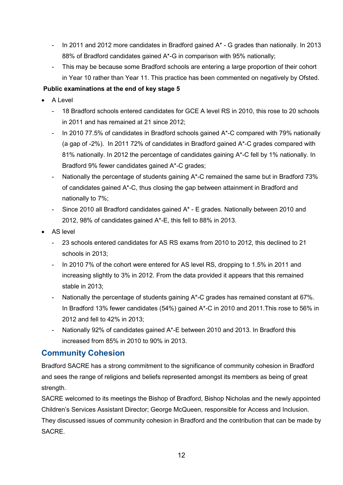- In 2011 and 2012 more candidates in Bradford gained A\* G grades than nationally. In 2013 88% of Bradford candidates gained A\*-G in comparison with 95% nationally;
- This may be because some Bradford schools are entering a large proportion of their cohort in Year 10 rather than Year 11. This practice has been commented on negatively by Ofsted.

### **Public examinations at the end of key stage 5**

- A Level
	- 18 Bradford schools entered candidates for GCE A level RS in 2010, this rose to 20 schools in 2011 and has remained at 21 since 2012;
	- In 2010 77.5% of candidates in Bradford schools gained A\*-C compared with 79% nationally (a gap of -2%). In 2011 72% of candidates in Bradford gained A\*-C grades compared with 81% nationally. In 2012 the percentage of candidates gaining A\*-C fell by 1% nationally. In Bradford 9% fewer candidates gained A\*-C grades;
	- Nationally the percentage of students gaining A\*-C remained the same but in Bradford 73% of candidates gained A\*-C, thus closing the gap between attainment in Bradford and nationally to 7%;
	- Since 2010 all Bradford candidates gained A\* E grades. Nationally between 2010 and 2012, 98% of candidates gained A\*-E, this fell to 88% in 2013.
- AS level
	- 23 schools entered candidates for AS RS exams from 2010 to 2012, this declined to 21 schools in 2013;
	- In 2010 7% of the cohort were entered for AS level RS, dropping to 1.5% in 2011 and increasing slightly to 3% in 2012. From the data provided it appears that this remained stable in 2013;
	- Nationally the percentage of students gaining A\*-C grades has remained constant at 67%. In Bradford 13% fewer candidates (54%) gained A\*-C in 2010 and 2011.This rose to 56% in 2012 and fell to 42% in 2013;
	- Nationally 92% of candidates gained A\*-E between 2010 and 2013. In Bradford this increased from 85% in 2010 to 90% in 2013.

## **Community Cohesion**

Bradford SACRE has a strong commitment to the significance of community cohesion in Bradford and sees the range of religions and beliefs represented amongst its members as being of great strength.

SACRE welcomed to its meetings the Bishop of Bradford, Bishop Nicholas and the newly appointed Children's Services Assistant Director; George McQueen, responsible for Access and Inclusion. They discussed issues of community cohesion in Bradford and the contribution that can be made by SACRE.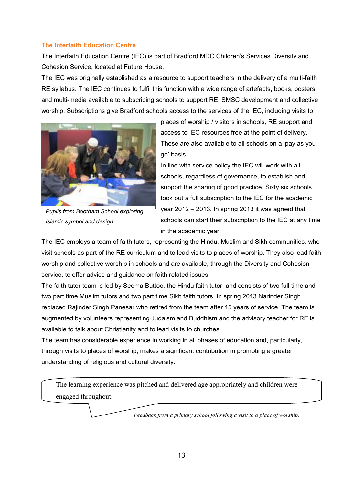#### **The Interfaith Education Centre**

The Interfaith Education Centre (IEC) is part of Bradford MDC Children's Services Diversity and Cohesion Service, located at Future House.

The IEC was originally established as a resource to support teachers in the delivery of a multi-faith RE syllabus. The IEC continues to fulfil this function with a wide range of artefacts, books, posters and multi-media available to subscribing schools to support RE, SMSC development and collective worship. Subscriptions give Bradford schools access to the services of the IEC, including visits to



*Pupils from Bootham School exploring Islamic symbol and design.* 

places of worship / visitors in schools, RE support and access to IEC resources free at the point of delivery. These are also available to all schools on a 'pay as you go' basis.

In line with service policy the IEC will work with all schools, regardless of governance, to establish and support the sharing of good practice. Sixty six schools took out a full subscription to the IEC for the academic year 2012 – 2013. In spring 2013 it was agreed that schools can start their subscription to the IEC at any time in the academic year.

The IEC employs a team of faith tutors, representing the Hindu, Muslim and Sikh communities, who visit schools as part of the RE curriculum and to lead visits to places of worship. They also lead faith worship and collective worship in schools and are available, through the Diversity and Cohesion service, to offer advice and guidance on faith related issues.

The faith tutor team is led by Seema Buttoo, the Hindu faith tutor, and consists of two full time and two part time Muslim tutors and two part time Sikh faith tutors. In spring 2013 Narinder Singh replaced Rajinder Singh Panesar who retired from the team after 15 years of service. The team is augmented by volunteers representing Judaism and Buddhism and the advisory teacher for RE is available to talk about Christianity and to lead visits to churches.

The team has considerable experience in working in all phases of education and, particularly, through visits to places of worship, makes a significant contribution in promoting a greater understanding of religious and cultural diversity.

The learning experience was pitched and delivered age appropriately and children were engaged throughout.

*Feedback from a primary school following a visit to a place of worship.*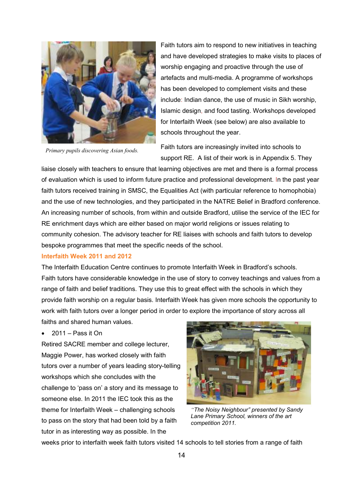

*Primary pupils discovering Asian foods.*

Faith tutors aim to respond to new initiatives in teaching and have developed strategies to make visits to places of worship engaging and proactive through the use of artefacts and multi-media. A programme of workshops has been developed to complement visits and these include: Indian dance, the use of music in Sikh worship, Islamic design, and food tasting. Workshops developed for Interfaith Week (see below) are also available to schools throughout the year.

Faith tutors are increasingly invited into schools to support RE. A list of their work is in Appendix 5. They

liaise closely with teachers to ensure that learning objectives are met and there is a formal process of evaluation which is used to inform future practice and professional development. In the past year faith tutors received training in SMSC, the Equalities Act (with particular reference to homophobia) and the use of new technologies, and they participated in the NATRE Belief in Bradford conference. An increasing number of schools, from within and outside Bradford, utilise the service of the IEC for RE enrichment days which are either based on major world religions or issues relating to community cohesion. The advisory teacher for RE liaises with schools and faith tutors to develop bespoke programmes that meet the specific needs of the school.

#### **Interfaith Week 2011 and 2012**

The Interfaith Education Centre continues to promote Interfaith Week in Bradford's schools. Faith tutors have considerable knowledge in the use of story to convey teachings and values from a range of faith and belief traditions. They use this to great effect with the schools in which they provide faith worship on a regular basis. Interfaith Week has given more schools the opportunity to work with faith tutors over a longer period in order to explore the importance of story across all

faiths and shared human values.

• 2011 – Pass it On

Retired SACRE member and college lecturer, Maggie Power, has worked closely with faith tutors over a number of years leading story-telling workshops which she concludes with the challenge to 'pass on' a story and its message to someone else. In 2011 the IEC took this as the theme for Interfaith Week – challenging schools to pass on the story that had been told by a faith tutor in as interesting way as possible. In the



*"The Noisy Neighbour" presented by Sandy Lane Primary School, winners of the art competition 2011.* 

weeks prior to interfaith week faith tutors visited 14 schools to tell stories from a range of faith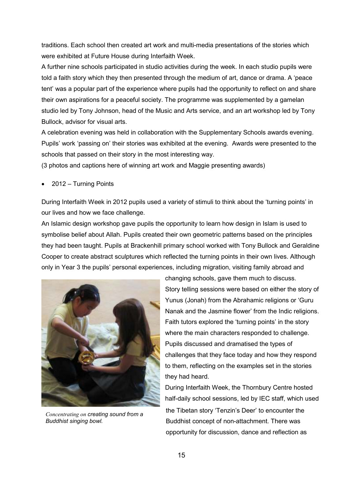traditions. Each school then created art work and multi-media presentations of the stories which were exhibited at Future House during Interfaith Week.

A further nine schools participated in studio activities during the week. In each studio pupils were told a faith story which they then presented through the medium of art, dance or drama. A 'peace tent' was a popular part of the experience where pupils had the opportunity to reflect on and share their own aspirations for a peaceful society. The programme was supplemented by a gamelan studio led by Tony Johnson, head of the Music and Arts service, and an art workshop led by Tony Bullock, advisor for visual arts.

A celebration evening was held in collaboration with the Supplementary Schools awards evening. Pupils' work 'passing on' their stories was exhibited at the evening. Awards were presented to the schools that passed on their story in the most interesting way.

(3 photos and captions here of winning art work and Maggie presenting awards)

• 2012 – Turning Points

During Interfaith Week in 2012 pupils used a variety of stimuli to think about the 'turning points' in our lives and how we face challenge.

An Islamic design workshop gave pupils the opportunity to learn how design in Islam is used to symbolise belief about Allah. Pupils created their own geometric patterns based on the principles they had been taught. Pupils at Brackenhill primary school worked with Tony Bullock and Geraldine Cooper to create abstract sculptures which reflected the turning points in their own lives. Although only in Year 3 the pupils' personal experiences, including migration, visiting family abroad and



*Concentrating on creating sound from a Buddhist singing bowl.* 

changing schools, gave them much to discuss. Story telling sessions were based on either the story of Yunus (Jonah) from the Abrahamic religions or 'Guru Nanak and the Jasmine flower' from the Indic religions. Faith tutors explored the 'turning points' in the story where the main characters responded to challenge. Pupils discussed and dramatised the types of challenges that they face today and how they respond to them, reflecting on the examples set in the stories they had heard.

During Interfaith Week, the Thornbury Centre hosted half-daily school sessions, led by IEC staff, which used the Tibetan story 'Tenzin's Deer' to encounter the Buddhist concept of non-attachment. There was opportunity for discussion, dance and reflection as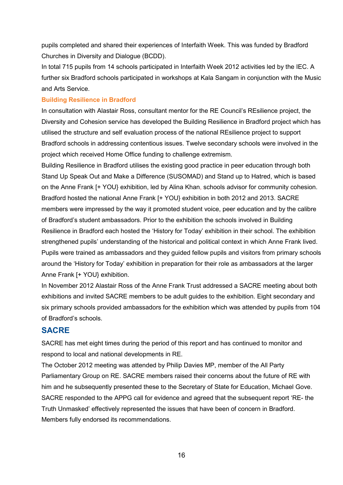pupils completed and shared their experiences of Interfaith Week. This was funded by Bradford Churches in Diversity and Dialogue (BCDD).

In total 715 pupils from 14 schools participated in Interfaith Week 2012 activities led by the IEC. A further six Bradford schools participated in workshops at Kala Sangam in conjunction with the Music and Arts Service.

#### **Building Resilience in Bradford**

In consultation with Alastair Ross, consultant mentor for the RE Council's REsilience project, the Diversity and Cohesion service has developed the Building Resilience in Bradford project which has utilised the structure and self evaluation process of the national REsilience project to support Bradford schools in addressing contentious issues. Twelve secondary schools were involved in the project which received Home Office funding to challenge extremism.

Building Resilience in Bradford utilises the existing good practice in peer education through both Stand Up Speak Out and Make a Difference (SUSOMAD) and Stand up to Hatred, which is based on the Anne Frank [+ YOU} exhibition, led by Alina Khan, schools advisor for community cohesion. Bradford hosted the national Anne Frank [+ YOU} exhibition in both 2012 and 2013. SACRE members were impressed by the way it promoted student voice, peer education and by the calibre of Bradford's student ambassadors. Prior to the exhibition the schools involved in Building Resilience in Bradford each hosted the 'History for Today' exhibition in their school. The exhibition strengthened pupils' understanding of the historical and political context in which Anne Frank lived. Pupils were trained as ambassadors and they guided fellow pupils and visitors from primary schools around the 'History for Today' exhibition in preparation for their role as ambassadors at the larger Anne Frank [+ YOU} exhibition.

In November 2012 Alastair Ross of the Anne Frank Trust addressed a SACRE meeting about both exhibitions and invited SACRE members to be adult guides to the exhibition. Eight secondary and six primary schools provided ambassadors for the exhibition which was attended by pupils from 104 of Bradford's schools.

#### **SACRE**

SACRE has met eight times during the period of this report and has continued to monitor and respond to local and national developments in RE.

The October 2012 meeting was attended by Philip Davies MP, member of the All Party Parliamentary Group on RE. SACRE members raised their concerns about the future of RE with him and he subsequently presented these to the Secretary of State for Education, Michael Gove. SACRE responded to the APPG call for evidence and agreed that the subsequent report 'RE- the Truth Unmasked' effectively represented the issues that have been of concern in Bradford. Members fully endorsed its recommendations.

16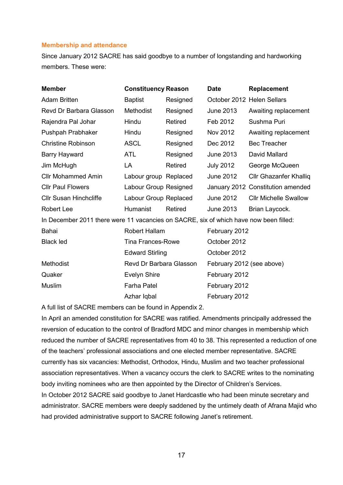#### **Membership and attendance**

Since January 2012 SACRE has said goodbye to a number of longstanding and hardworking members. These were:

| <b>Member</b>                                                                         | <b>Constituency Reason</b> |                | <b>Date</b>                | <b>Replacement</b>                |
|---------------------------------------------------------------------------------------|----------------------------|----------------|----------------------------|-----------------------------------|
| <b>Adam Britten</b>                                                                   | <b>Baptist</b>             | Resigned       | October 2012 Helen Sellars |                                   |
| Revd Dr Barbara Glasson                                                               | Methodist                  | Resigned       | June 2013                  | Awaiting replacement              |
| Rajendra Pal Johar                                                                    | Hindu                      | Retired        | Feb 2012                   | Sushma Puri                       |
| Pushpah Prabhaker                                                                     | Hindu                      | Resigned       | Nov 2012                   | Awaiting replacement              |
| <b>Christine Robinson</b>                                                             | <b>ASCL</b>                | Resigned       | Dec 2012                   | <b>Bec Treacher</b>               |
| <b>Barry Hayward</b>                                                                  | <b>ATL</b>                 | Resigned       | <b>June 2013</b>           | David Mallard                     |
| Jim McHugh                                                                            | LA                         | <b>Retired</b> | <b>July 2012</b>           | George McQueen                    |
| <b>Cllr Mohammed Amin</b>                                                             | Labour group Replaced      |                | <b>June 2012</b>           | <b>Cllr Ghazanfer Khalliq</b>     |
| <b>Cllr Paul Flowers</b>                                                              | Labour Group Resigned      |                |                            | January 2012 Constitution amended |
| <b>Cllr Susan Hinchcliffe</b>                                                         | Labour Group Replaced      |                | June 2012                  | <b>Cllr Michelle Swallow</b>      |
| <b>Robert Lee</b>                                                                     | Humanist                   | Retired        | June 2013                  | Brian Laycock.                    |
| In December 2011 there were 11 vacancies on SACRE, six of which have now been filled: |                            |                |                            |                                   |
| Bahai                                                                                 | Robert Hallam              |                | February 2012              |                                   |
| <b>Black led</b>                                                                      | <b>Tina Frances-Rowe</b>   |                | October 2012               |                                   |
|                                                                                       | <b>Edward Stirling</b>     |                | October 2012               |                                   |
| Methodist                                                                             | Revd Dr Barbara Glasson    |                | February 2012 (see above)  |                                   |
| Quaker                                                                                | <b>Evelyn Shire</b>        |                | February 2012              |                                   |
| Muslim                                                                                | <b>Farha Patel</b>         |                | February 2012              |                                   |
|                                                                                       | Azhar Iqbal                |                | February 2012              |                                   |

A full list of SACRE members can be found in Appendix 2.

In April an amended constitution for SACRE was ratified. Amendments principally addressed the reversion of education to the control of Bradford MDC and minor changes in membership which reduced the number of SACRE representatives from 40 to 38. This represented a reduction of one of the teachers' professional associations and one elected member representative. SACRE currently has six vacancies: Methodist, Orthodox, Hindu, Muslim and two teacher professional association representatives. When a vacancy occurs the clerk to SACRE writes to the nominating body inviting nominees who are then appointed by the Director of Children's Services. In October 2012 SACRE said goodbye to Janet Hardcastle who had been minute secretary and administrator. SACRE members were deeply saddened by the untimely death of Afrana Majid who had provided administrative support to SACRE following Janet's retirement.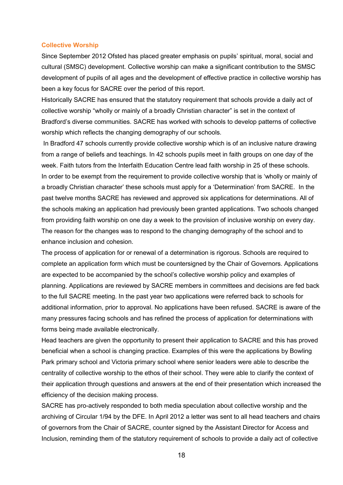#### **Collective Worship**

Since September 2012 Ofsted has placed greater emphasis on pupils' spiritual, moral, social and cultural (SMSC) development. Collective worship can make a significant contribution to the SMSC development of pupils of all ages and the development of effective practice in collective worship has been a key focus for SACRE over the period of this report.

Historically SACRE has ensured that the statutory requirement that schools provide a daily act of collective worship "wholly or mainly of a broadly Christian character" is set in the context of Bradford's diverse communities. SACRE has worked with schools to develop patterns of collective worship which reflects the changing demography of our schools.

 In Bradford 47 schools currently provide collective worship which is of an inclusive nature drawing from a range of beliefs and teachings. In 42 schools pupils meet in faith groups on one day of the week. Faith tutors from the Interfaith Education Centre lead faith worship in 25 of these schools. In order to be exempt from the requirement to provide collective worship that is 'wholly or mainly of a broadly Christian character' these schools must apply for a 'Determination' from SACRE. In the past twelve months SACRE has reviewed and approved six applications for determinations. All of the schools making an application had previously been granted applications. Two schools changed from providing faith worship on one day a week to the provision of inclusive worship on every day. The reason for the changes was to respond to the changing demography of the school and to enhance inclusion and cohesion.

The process of application for or renewal of a determination is rigorous. Schools are required to complete an application form which must be countersigned by the Chair of Governors. Applications are expected to be accompanied by the school's collective worship policy and examples of planning. Applications are reviewed by SACRE members in committees and decisions are fed back to the full SACRE meeting. In the past year two applications were referred back to schools for additional information, prior to approval. No applications have been refused. SACRE is aware of the many pressures facing schools and has refined the process of application for determinations with forms being made available electronically.

Head teachers are given the opportunity to present their application to SACRE and this has proved beneficial when a school is changing practice. Examples of this were the applications by Bowling Park primary school and Victoria primary school where senior leaders were able to describe the centrality of collective worship to the ethos of their school. They were able to clarify the context of their application through questions and answers at the end of their presentation which increased the efficiency of the decision making process.

SACRE has pro-actively responded to both media speculation about collective worship and the archiving of Circular 1/94 by the DFE. In April 2012 a letter was sent to all head teachers and chairs of governors from the Chair of SACRE, counter signed by the Assistant Director for Access and Inclusion, reminding them of the statutory requirement of schools to provide a daily act of collective

18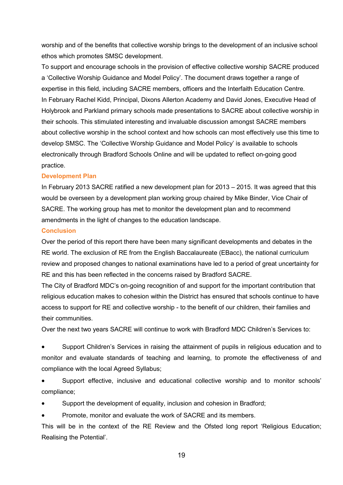worship and of the benefits that collective worship brings to the development of an inclusive school ethos which promotes SMSC development.

To support and encourage schools in the provision of effective collective worship SACRE produced a 'Collective Worship Guidance and Model Policy'. The document draws together a range of expertise in this field, including SACRE members, officers and the Interfaith Education Centre. In February Rachel Kidd, Principal, Dixons Allerton Academy and David Jones, Executive Head of Holybrook and Parkland primary schools made presentations to SACRE about collective worship in their schools. This stimulated interesting and invaluable discussion amongst SACRE members about collective worship in the school context and how schools can most effectively use this time to develop SMSC. The 'Collective Worship Guidance and Model Policy' is available to schools electronically through Bradford Schools Online and will be updated to reflect on-going good practice.

#### **Development Plan**

In February 2013 SACRE ratified a new development plan for 2013 – 2015. It was agreed that this would be overseen by a development plan working group chaired by Mike Binder, Vice Chair of SACRE. The working group has met to monitor the development plan and to recommend amendments in the light of changes to the education landscape.

#### **Conclusion**

Over the period of this report there have been many significant developments and debates in the RE world. The exclusion of RE from the English Baccalaureate (EBacc), the national curriculum review and proposed changes to national examinations have led to a period of great uncertainty for RE and this has been reflected in the concerns raised by Bradford SACRE.

The City of Bradford MDC's on-going recognition of and support for the important contribution that religious education makes to cohesion within the District has ensured that schools continue to have access to support for RE and collective worship - to the benefit of our children, their families and their communities.

Over the next two years SACRE will continue to work with Bradford MDC Children's Services to:

• Support Children's Services in raising the attainment of pupils in religious education and to monitor and evaluate standards of teaching and learning, to promote the effectiveness of and compliance with the local Agreed Syllabus;

• Support effective, inclusive and educational collective worship and to monitor schools' compliance;

• Support the development of equality, inclusion and cohesion in Bradford;

• Promote, monitor and evaluate the work of SACRE and its members.

This will be in the context of the RE Review and the Ofsted long report 'Religious Education; Realising the Potential'.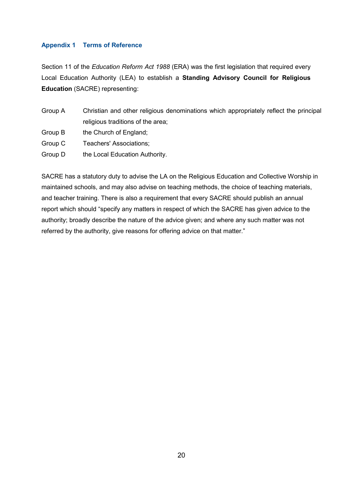#### **Appendix 1 Terms of Reference**

Section 11 of the *Education Reform Act 1988* (ERA) was the first legislation that required every Local Education Authority (LEA) to establish a **Standing Advisory Council for Religious Education** (SACRE) representing:

| Group A | Christian and other religious denominations which appropriately reflect the principal |
|---------|---------------------------------------------------------------------------------------|
|         | religious traditions of the area;                                                     |
| Group B | the Church of England;                                                                |
| Group C | Teachers' Associations;                                                               |
| Group D | the Local Education Authority.                                                        |

SACRE has a statutory duty to advise the LA on the Religious Education and Collective Worship in maintained schools, and may also advise on teaching methods, the choice of teaching materials, and teacher training. There is also a requirement that every SACRE should publish an annual report which should "specify any matters in respect of which the SACRE has given advice to the authority; broadly describe the nature of the advice given; and where any such matter was not referred by the authority, give reasons for offering advice on that matter."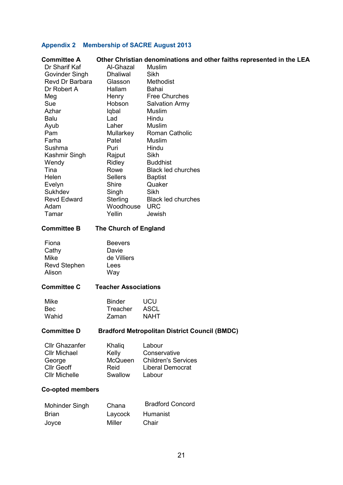## **Appendix 2 Membership of SACRE August 2013**

| <b>Committee A</b>      |                             | Other Christian denominations and other faiths represented in the LEA |
|-------------------------|-----------------------------|-----------------------------------------------------------------------|
| Dr Sharif Kaf           | Al-Ghazal                   | Muslim                                                                |
| Govinder Singh          | <b>Dhaliwal</b>             | Sikh                                                                  |
| Revd Dr Barbara         | Glasson                     | <b>Methodist</b>                                                      |
| Dr Robert A             | Hallam                      | Bahai                                                                 |
| Meg                     | Henry                       | <b>Free Churches</b>                                                  |
| Sue                     | Hobson                      | <b>Salvation Army</b>                                                 |
| Azhar                   | Iqbal                       | Muslim                                                                |
| Balu                    | Lad                         | Hindu                                                                 |
| Ayub                    | Laher                       | Muslim                                                                |
| Pam                     | Mullarkey                   | <b>Roman Catholic</b>                                                 |
| Farha                   | Patel                       | Muslim                                                                |
| Sushma                  | Puri                        | Hindu                                                                 |
| Kashmir Singh           | Rajput                      | Sikh                                                                  |
| Wendy                   | Ridley                      | <b>Buddhist</b>                                                       |
| Tina                    | Rowe                        | <b>Black led churches</b>                                             |
| Helen                   | <b>Sellers</b>              | <b>Baptist</b>                                                        |
| Evelyn                  | Shire                       | Quaker                                                                |
| Sukhdev                 | Singh                       | Sikh                                                                  |
| <b>Revd Edward</b>      | Sterling                    | <b>Black led churches</b>                                             |
| Adam                    | Woodhouse                   | <b>URC</b>                                                            |
| Tamar                   | Yellin                      | Jewish                                                                |
| <b>Committee B</b>      | The Church of England       |                                                                       |
|                         |                             |                                                                       |
| Fiona                   | <b>Beevers</b>              |                                                                       |
| Cathy                   | Davie                       |                                                                       |
| <b>Mike</b>             | de Villiers                 |                                                                       |
| <b>Revd Stephen</b>     | Lees                        |                                                                       |
| Alison                  | Way                         |                                                                       |
| <b>Committee C</b>      | <b>Teacher Associations</b> |                                                                       |
| Mike                    | <b>Binder</b>               | <b>UCU</b>                                                            |
|                         |                             | <b>ASCL</b>                                                           |
| Bec<br>Wahid            | Treacher<br>Zaman           | <b>NAHT</b>                                                           |
|                         |                             |                                                                       |
| <b>Committee D</b>      |                             | <b>Bradford Metropolitan District Council (BMDC)</b>                  |
| <b>Cllr Ghazanfer</b>   | Khaliq                      | Labour                                                                |
| <b>Cllr Michael</b>     | Kelly                       | Conservative                                                          |
| George                  | McQueen                     | <b>Children's Services</b>                                            |
| <b>Cllr Geoff</b>       | Reid                        | <b>Liberal Democrat</b>                                               |
| <b>Cllr Michelle</b>    | Swallow                     | Labour                                                                |
| <b>Co-opted members</b> |                             |                                                                       |
|                         |                             |                                                                       |
| Mohinder Singh          | Chana                       | <b>Bradford Concord</b>                                               |
|                         |                             |                                                                       |
| <b>Brian</b>            | Laycock                     | Humanist                                                              |

Joyce Miller Chair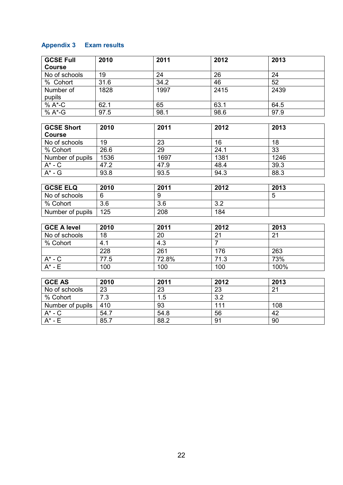## **Appendix 3 Exam results**

| <b>GCSE Full</b>       | 2010             | 2011             | 2012             | 2013            |
|------------------------|------------------|------------------|------------------|-----------------|
| <b>Course</b>          |                  |                  |                  |                 |
| No of schools          | 19               | 24               | 26               | 24              |
| % Cohort               | 31.6             | 34.2             | 46               | $\overline{52}$ |
| Number of              | 1828             | 1997             | 2415             | 2439            |
| pupils                 |                  |                  |                  |                 |
| % A*-C                 | 62.1             | 65               | 63.1             | 64.5            |
| % A*-G                 | 97.5             | 98.1             | 98.6             | 97.9            |
|                        |                  |                  |                  |                 |
| <b>GCSE Short</b>      | 2010             | 2011             | 2012             | 2013            |
| <b>Course</b>          |                  |                  |                  |                 |
| No of schools          | 19               | 23               | 16               | 18              |
| % Cohort               | 26.6             | 29               | 24.1             | $\overline{33}$ |
| Number of pupils       | 1536             | 1697             | 1381             | 1246            |
| $\overline{A}^*$ - $C$ | 47.2             | 47.9             | 48.4             | 39.3            |
| $A^*$ - $G$            | 93.8             | 93.5             | 94.3             | 88.3            |
|                        |                  |                  |                  |                 |
| <b>GCSE ELQ</b>        | 2010             | 2011             | 2012             | 2013            |
| No of schools          | $\overline{6}$   | $\overline{9}$   |                  | $\overline{5}$  |
| % Cohort               | $\overline{3.6}$ | $\overline{3.6}$ | 3.2              |                 |
| Number of pupils       | 125              | 208              | 184              |                 |
|                        |                  |                  |                  |                 |
| <b>GCE A level</b>     | 2010             | 2011             | 2012             | 2013            |
| No of schools          | 18               | 20               | 21               | 21              |
| % Cohort               | 4.1              | 4.3              | $\overline{7}$   |                 |
|                        | 228              | 261              | 176              | 263             |
| $A^*$ - $C$            | 77.5             | 72.8%            | 71.3             | 73%             |
| $A^*$ - $E$            | 100              | 100              | 100              | 100%            |
|                        |                  |                  |                  |                 |
| <b>GCE AS</b>          | 2010             | 2011             | 2012             | 2013            |
| No of schools          | 23               | 23               | 23               | 21              |
| % Cohort               | 7.3              | 1.5              | $\overline{3.2}$ |                 |
| Number of pupils       | 410              | 93               | 111              | 108             |
| $A^*$ - $C$            | 54.7             | 54.8             | $\overline{56}$  | 42              |
| $A^*$ - E              | 85.7             | 88.2             | 91               | $\overline{90}$ |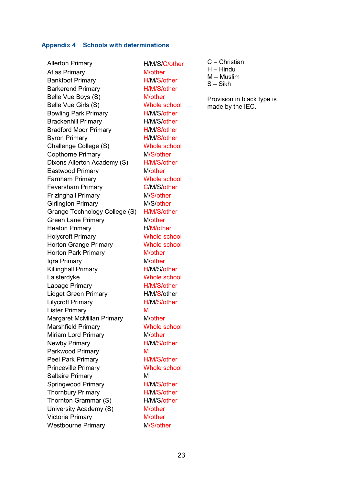#### **Appendix 4 Schools with determinations**

Allerton Primary H/M/S/C/other Atlas Primary M/other Bankfoot Primary **H/M/S/other** Barkerend Primary **H/M/S/other** Belle Vue Boys (S) M/other Belle Vue Girls (S) Whole school Bowling Park Primary **H/M/S/other** Brackenhill Primary H/M/S/other Bradford Moor Primary H/M/S/other Byron Primary H/M/S/other Challenge College (S) Whole school Copthorne Primary M/S/other Dixons Allerton Academy (S) H/M/S/other Eastwood Primary M/other Farnham Primary Whole school Feversham Primary C/M/S/other Frizinghall Primary M/S/other Girlington Primary M/S/other Grange Technology College (S) H/M/S/other Green Lane Primary M/other Heaton Primary **H/M/other** Holycroft Primary Whole school Horton Grange Primary **Whole school** Horton Park Primary M/other Igra Primary **Mother** Killinghall Primary H/M/S/other Laisterdyke Whole school Lapage Primary **H/M/S/other** Lidget Green Primary H/M/S/other Lilycroft Primary **H/M/S/other** Lister Primary M Margaret McMillan Primary M/other Marshfield Primary Whole school Miriam Lord Primary M/other Newby Primary **H/M/S/other** Parkwood Primary M Peel Park Primary H/M/S/other Princeville Primary Whole school Saltaire Primary M Springwood Primary H/M/S/other Thornbury Primary **H/M/S/other** Thornton Grammar (S) H/M/S/other University Academy (S) M/other Victoria Primary M/other Westbourne Primary M/S/other

- C Christian
- $H H$ indu
- M Muslim
- S Sikh

Provision in black type is made by the IEC.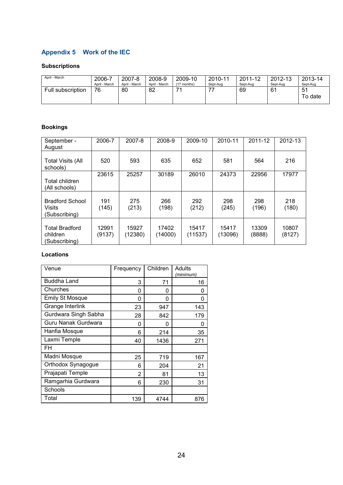## **Appendix 5 Work of the IEC**

#### **Subscriptions**

| April - March     | 2006-7        | 2007-8        | 2008-9        | 2009-10       | 2010-11  | 2011-12  | 2012-13  | 2013-14       |
|-------------------|---------------|---------------|---------------|---------------|----------|----------|----------|---------------|
|                   | April - March | April - March | April - March | $(17$ months) | Sept-Aug | Sept-Aug | Sept-Aug | Sept-Aug      |
| Full subscription | 76            | 80            | 82            | 74            | --       | 69       | 61       | 51<br>To date |

#### **Bookings**

| September -<br>August                              | 2006-7          | 2007-8           | 2008-9           | 2009-10          | 2010-11          | 2011-12         | 2012-13         |
|----------------------------------------------------|-----------------|------------------|------------------|------------------|------------------|-----------------|-----------------|
| <b>Total Visits (All</b><br>schools)               | 520             | 593              | 635              | 652              | 581              | 564             | 216             |
| Total children<br>(All schools)                    | 23615           | 25257            | 30189            | 26010            | 24373            | 22956           | 17977           |
| <b>Bradford School</b><br>Visits<br>(Subscribing)  | 191<br>(145)    | 275<br>(213)     | 266<br>(198)     | 292<br>(212)     | 298<br>(245)     | 298<br>(196)    | 218<br>(180)    |
| <b>Total Bradford</b><br>children<br>(Subscribing) | 12991<br>(9137) | 15927<br>(12380) | 17402<br>(14000) | 15417<br>(11537) | 15417<br>(13096) | 13309<br>(8888) | 10807<br>(8127) |

#### **Locations**

| Venue                  | Frequency | Children | Adults<br>(minimum) |
|------------------------|-----------|----------|---------------------|
| <b>Buddha Land</b>     | 3         | 71       | 16                  |
| Churches               | 0         | 0        | 0                   |
| <b>Emily St Mosque</b> | 0         | 0        | 0                   |
| Grange Interlink       | 23        | 947      | 143                 |
| Gurdwara Singh Sabha   | 28        | 842      | 179                 |
| Guru Nanak Gurdwara    | 0         | 0        | 0                   |
| Hanfia Mosque          | 6         | 214      | 35                  |
| Laxmi Temple           | 40        | 1436     | 271                 |
| FH                     |           |          |                     |
| Madni Mosque           | 25        | 719      | 167                 |
| Orthodox Synagogue     | 6         | 204      | 21                  |
| Prajapati Temple       | 2         | 81       | 13                  |
| Ramgarhia Gurdwara     | 6         | 230      | 31                  |
| Schools                |           |          |                     |
| Total                  | 139       | 4744     | 876                 |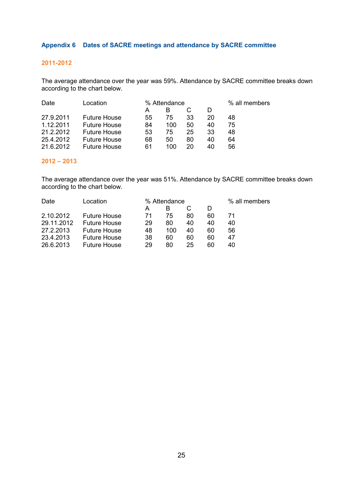#### **Appendix 6 Dates of SACRE meetings and attendance by SACRE committee**

#### **2011-2012**

The average attendance over the year was 59%. Attendance by SACRE committee breaks down according to the chart below.

| .ocation<br>Date |                     | % Attendance |     | % all members |    |    |
|------------------|---------------------|--------------|-----|---------------|----|----|
|                  |                     | А            |     |               |    |    |
| 27.9.2011        | <b>Future House</b> | 55           | 75  | 33            | 20 | 48 |
| 1.12.2011        | <b>Future House</b> | 84           | 100 | 50            | 40 | 75 |
| 21.2.2012        | <b>Future House</b> | 53           | 75  | 25            | 33 | 48 |
| 25.4.2012        | <b>Future House</b> | 68           | 50  | 80            | 40 | 64 |
| 21 6 2012        | <b>Future House</b> | 61           | 100 | 20            | 40 | 56 |

#### **2012 – 2013**

The average attendance over the year was 51%. Attendance by SACRE committee breaks down according to the chart below.

| Date       | Location            | % Attendance |     |    |    | % all members |  |
|------------|---------------------|--------------|-----|----|----|---------------|--|
|            |                     | А            |     |    |    |               |  |
| 2.10.2012  | <b>Future House</b> | 71           | 75  | 80 | 60 |               |  |
| 29.11.2012 | <b>Future House</b> | 29           | 80  | 40 | 40 | 40            |  |
| 27.2.2013  | <b>Future House</b> | 48           | 100 | 40 | 60 | 56            |  |
| 23.4.2013  | <b>Future House</b> | 38           | 60  | 60 | 60 | 47            |  |
| 26.6.2013  | <b>Future House</b> | 29           | 80  | 25 | 60 | 40            |  |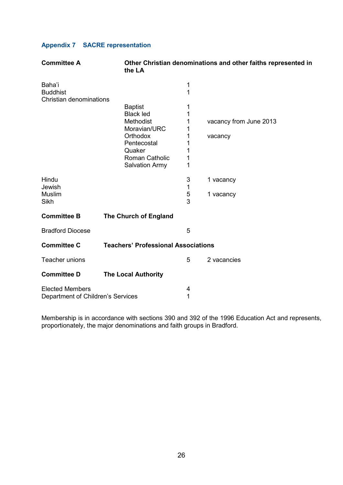## **Appendix 7 SACRE representation**

| <b>Committee A</b>                                          | the LA                                     |        | Other Christian denominations and other faiths represented in |
|-------------------------------------------------------------|--------------------------------------------|--------|---------------------------------------------------------------|
| Baha'i<br><b>Buddhist</b><br>Christian denominations        |                                            | 1<br>1 |                                                               |
|                                                             | <b>Baptist</b>                             | 1      |                                                               |
|                                                             | <b>Black led</b>                           | 1      |                                                               |
|                                                             | Methodist<br>Moravian/URC                  | 1<br>1 | vacancy from June 2013                                        |
|                                                             | Orthodox                                   | 1      | vacancy                                                       |
|                                                             | Pentecostal                                | 1      |                                                               |
|                                                             | Quaker                                     | 1      |                                                               |
|                                                             | Roman Catholic<br><b>Salvation Army</b>    | 1<br>1 |                                                               |
|                                                             |                                            |        |                                                               |
| Hindu                                                       |                                            | 3      | 1 vacancy                                                     |
| Jewish<br><b>Muslim</b>                                     |                                            | 1      |                                                               |
| Sikh                                                        |                                            | 5<br>3 | 1 vacancy                                                     |
|                                                             |                                            |        |                                                               |
| <b>Committee B</b>                                          | The Church of England                      |        |                                                               |
| <b>Bradford Diocese</b>                                     |                                            | 5      |                                                               |
| <b>Committee C</b>                                          | <b>Teachers' Professional Associations</b> |        |                                                               |
| Teacher unions                                              |                                            | 5      | 2 vacancies                                                   |
| <b>Committee D</b>                                          | <b>The Local Authority</b>                 |        |                                                               |
| <b>Elected Members</b><br>Department of Children's Services |                                            | 4<br>1 |                                                               |

Membership is in accordance with sections 390 and 392 of the 1996 Education Act and represents, proportionately, the major denominations and faith groups in Bradford.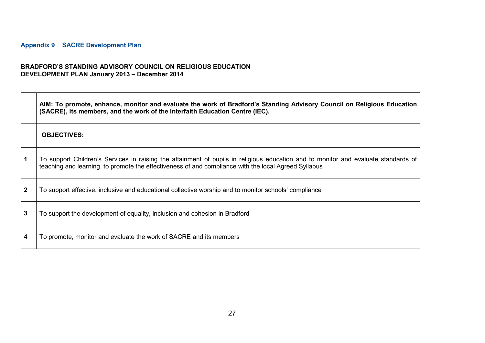## **Appendix 9 SACRE Development Plan**

 $\blacksquare$ 

 $\overline{\phantom{a}}$ 

#### **BRADFORD'S STANDING ADVISORY COUNCIL ON RELIGIOUS EDUCATION DEVELOPMENT PLAN January 2013 – December 2014**

|              | AIM: To promote, enhance, monitor and evaluate the work of Bradford's Standing Advisory Council on Religious Education<br>(SACRE), its members, and the work of the Interfaith Education Centre (IEC).                                     |
|--------------|--------------------------------------------------------------------------------------------------------------------------------------------------------------------------------------------------------------------------------------------|
|              | <b>OBJECTIVES:</b>                                                                                                                                                                                                                         |
| $\mathbf 1$  | To support Children's Services in raising the attainment of pupils in religious education and to monitor and evaluate standards of<br>teaching and learning, to promote the effectiveness of and compliance with the local Agreed Syllabus |
| $\mathbf{2}$ | To support effective, inclusive and educational collective worship and to monitor schools' compliance                                                                                                                                      |
| 3            | To support the development of equality, inclusion and cohesion in Bradford                                                                                                                                                                 |
| 4            | To promote, monitor and evaluate the work of SACRE and its members                                                                                                                                                                         |

 $\overline{\phantom{0}}$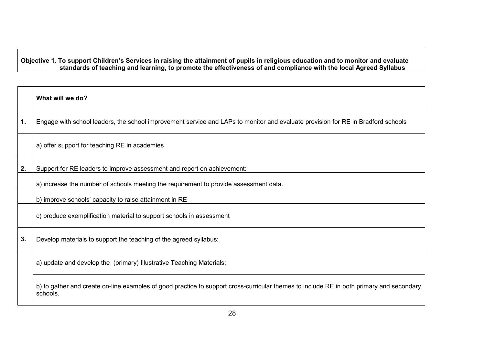## Objective 1. To support Children's Services in raising the attainment of pupils in religious education and to monitor and evaluate<br>standards of teaching and learning, to promote the effectiveness of and compliance with the

|    | What will we do?                                                                                                                                     |
|----|------------------------------------------------------------------------------------------------------------------------------------------------------|
| 1. | Engage with school leaders, the school improvement service and LAPs to monitor and evaluate provision for RE in Bradford schools                     |
|    | a) offer support for teaching RE in academies                                                                                                        |
| 2. | Support for RE leaders to improve assessment and report on achievement:                                                                              |
|    | a) increase the number of schools meeting the requirement to provide assessment data.                                                                |
|    | b) improve schools' capacity to raise attainment in RE                                                                                               |
|    | c) produce exemplification material to support schools in assessment                                                                                 |
| 3. | Develop materials to support the teaching of the agreed syllabus:                                                                                    |
|    | a) update and develop the (primary) Illustrative Teaching Materials;                                                                                 |
|    | b) to gather and create on-line examples of good practice to support cross-curricular themes to include RE in both primary and secondary<br>schools. |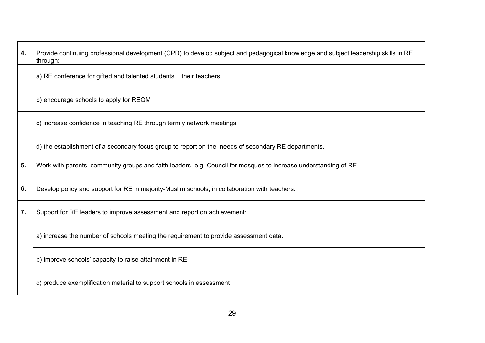| 4. | Provide continuing professional development (CPD) to develop subject and pedagogical knowledge and subject leadership skills in RE<br>through: |
|----|------------------------------------------------------------------------------------------------------------------------------------------------|
|    | a) RE conference for gifted and talented students + their teachers.                                                                            |
|    | b) encourage schools to apply for REQM                                                                                                         |
|    | c) increase confidence in teaching RE through termly network meetings                                                                          |
|    | d) the establishment of a secondary focus group to report on the needs of secondary RE departments.                                            |
| 5. | Work with parents, community groups and faith leaders, e.g. Council for mosques to increase understanding of RE.                               |
| 6. | Develop policy and support for RE in majority-Muslim schools, in collaboration with teachers.                                                  |
| 7. | Support for RE leaders to improve assessment and report on achievement:                                                                        |
|    | a) increase the number of schools meeting the requirement to provide assessment data.                                                          |
|    | b) improve schools' capacity to raise attainment in RE                                                                                         |
|    | c) produce exemplification material to support schools in assessment                                                                           |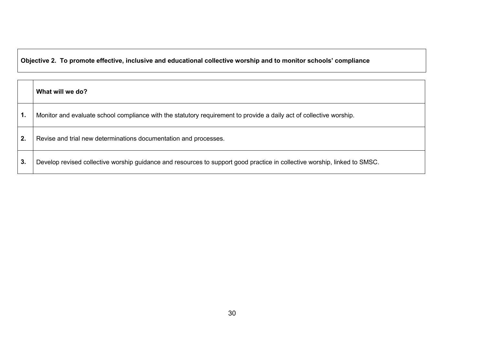## **Objective 2. To promote effective, inclusive and educational collective worship and to monitor schools' compliance**

|    | What will we do?                                                                                                          |
|----|---------------------------------------------------------------------------------------------------------------------------|
| 1. | Monitor and evaluate school compliance with the statutory requirement to provide a daily act of collective worship.       |
| 2. | Revise and trial new determinations documentation and processes.                                                          |
| 3. | Develop revised collective worship guidance and resources to support good practice in collective worship, linked to SMSC. |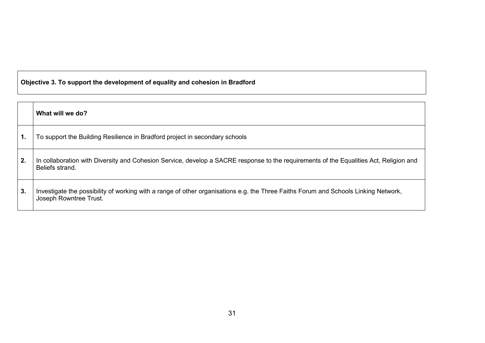## **Objective 3. To support the development of equality and cohesion in Bradford**

|    | What will we do?                                                                                                                                              |
|----|---------------------------------------------------------------------------------------------------------------------------------------------------------------|
| 1. | To support the Building Resilience in Bradford project in secondary schools                                                                                   |
| 2. | In collaboration with Diversity and Cohesion Service, develop a SACRE response to the requirements of the Equalities Act, Religion and<br>Beliefs strand.     |
| 3. | Investigate the possibility of working with a range of other organisations e.g. the Three Faiths Forum and Schools Linking Network,<br>Joseph Rowntree Trust. |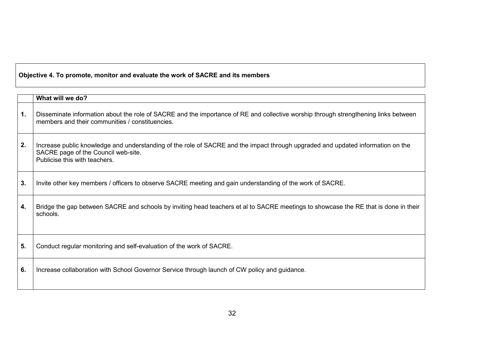## **Objective 4. To promote, monitor and evaluate the work of SACRE and its members**

|    | What will we do?                                                                                                                                                                                        |
|----|---------------------------------------------------------------------------------------------------------------------------------------------------------------------------------------------------------|
| 1. | Disseminate information about the role of SACRE and the importance of RE and collective worship through strengthening links between<br>members and their communities / constituencies.                  |
| 2. | Increase public knowledge and understanding of the role of SACRE and the impact through upgraded and updated information on the<br>SACRE page of the Council web-site.<br>Publicise this with teachers. |
| 3. | Invite other key members / officers to observe SACRE meeting and gain understanding of the work of SACRE.                                                                                               |
| 4. | Bridge the gap between SACRE and schools by inviting head teachers et al to SACRE meetings to showcase the RE that is done in their<br>schools.                                                         |
| 5. | Conduct regular monitoring and self-evaluation of the work of SACRE.                                                                                                                                    |
| 6. | Increase collaboration with School Governor Service through launch of CW policy and guidance.                                                                                                           |